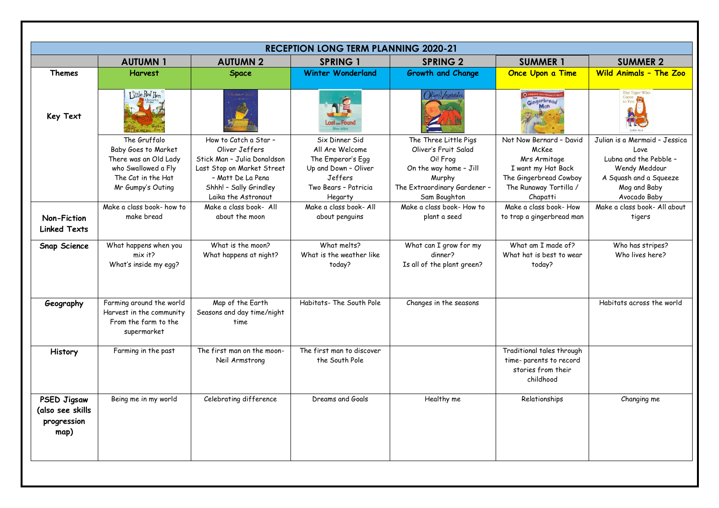| <b>RECEPTION LONG TERM PLANNING 2020-21</b>                   |                                                                                                                                |                                                                                                                                                                            |                                                                                                                              |                                                                                                                                               |                                                                                                                                        |                                                                                                                                            |  |  |
|---------------------------------------------------------------|--------------------------------------------------------------------------------------------------------------------------------|----------------------------------------------------------------------------------------------------------------------------------------------------------------------------|------------------------------------------------------------------------------------------------------------------------------|-----------------------------------------------------------------------------------------------------------------------------------------------|----------------------------------------------------------------------------------------------------------------------------------------|--------------------------------------------------------------------------------------------------------------------------------------------|--|--|
|                                                               | <b>AUTUMN1</b>                                                                                                                 | <b>AUTUMN 2</b>                                                                                                                                                            | <b>SPRING 1</b>                                                                                                              | <b>SPRING 2</b>                                                                                                                               | <b>SUMMER 1</b>                                                                                                                        | <b>SUMMER 2</b>                                                                                                                            |  |  |
| <b>Themes</b>                                                 | <b>Harvest</b>                                                                                                                 | <b>Space</b>                                                                                                                                                               | <b>Winter Wonderland</b>                                                                                                     | <b>Growth and Change</b>                                                                                                                      | <b>Once Upon a Time</b>                                                                                                                | <b>Wild Animals - The Zoo</b>                                                                                                              |  |  |
| Key Text                                                      | Little Red Hen                                                                                                                 |                                                                                                                                                                            |                                                                                                                              |                                                                                                                                               | Gingerbread                                                                                                                            | The Tiger Who<br>Came                                                                                                                      |  |  |
|                                                               | The Gruffalo<br>Baby Goes to Market<br>There was an Old Lady<br>who Swallowed a Fly<br>The Cat in the Hat<br>Mr Gumpy's Outing | How to Catch a Star -<br>Oliver Jeffers<br>Stick Man - Julia Donaldson<br>Last Stop on Market Street<br>- Matt De La Pena<br>Shhh! - Sally Grindley<br>Laika the Astronaut | Six Dinner Sid<br>All Are Welcome<br>The Emperor's Egg<br>Up and Down - Oliver<br>Jeffers<br>Two Bears - Patricia<br>Hegarty | The Three Little Pigs<br>Oliver's Fruit Salad<br>Oi! Frog<br>On the way home - Jill<br>Murphy<br>The Extraordinary Gardener -<br>Sam Boughton | Not Now Bernard - David<br>McKee<br>Mrs Armitage<br>I want my Hat Back<br>The Gingerbread Cowboy<br>The Runaway Tortilla /<br>Chapatti | Julian is a Mermaid - Jessica<br>Love<br>Lubna and the Pebble -<br>Wendy Meddour<br>A Squash and a Squeeze<br>Mog and Baby<br>Avocado Baby |  |  |
| Non-Fiction<br><b>Linked Texts</b>                            | Make a class book- how to<br>make bread                                                                                        | Make a class book- All<br>about the moon                                                                                                                                   | Make a class book- All<br>about penguins                                                                                     | Make a class book-How to<br>plant a seed                                                                                                      | Make a class book- How<br>to trap a gingerbread man                                                                                    | Make a class book- All about<br>tigers                                                                                                     |  |  |
| <b>Snap Science</b>                                           | What happens when you<br>$mix$ it?<br>What's inside my egg?                                                                    | What is the moon?<br>What happens at night?                                                                                                                                | What melts?<br>What is the weather like<br>today?                                                                            | What can I grow for my<br>dinner?<br>Is all of the plant green?                                                                               | What am I made of?<br>What hat is best to wear<br>today?                                                                               | Who has stripes?<br>Who lives here?                                                                                                        |  |  |
| Geography                                                     | Farming around the world<br>Harvest in the community<br>From the farm to the<br>supermarket                                    | Map of the Earth<br>Seasons and day time/night<br>time                                                                                                                     | Habitats- The South Pole                                                                                                     | Changes in the seasons                                                                                                                        |                                                                                                                                        | Habitats across the world                                                                                                                  |  |  |
| History                                                       | Farming in the past                                                                                                            | The first man on the moon-<br>Neil Armstrong                                                                                                                               | The first man to discover<br>the South Pole                                                                                  |                                                                                                                                               | Traditional tales through<br>time-parents to record<br>stories from their<br>childhood                                                 |                                                                                                                                            |  |  |
| <b>PSED Jigsaw</b><br>(also see skills<br>progression<br>map) | Being me in my world                                                                                                           | Celebrating difference                                                                                                                                                     | Dreams and Goals                                                                                                             | Healthy me                                                                                                                                    | Relationships                                                                                                                          | Changing me                                                                                                                                |  |  |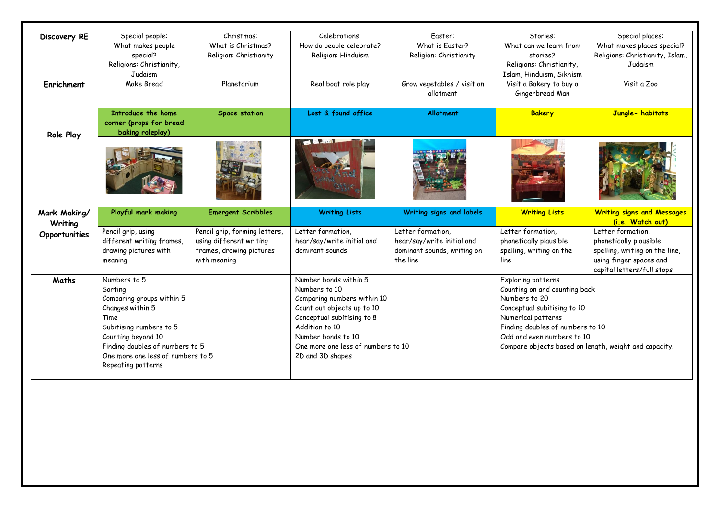| Discovery RE  | Special people:                   | Christmas:                    | Celebrations:                      | Easter:                                 | Stories:                                              | Special places:                                       |
|---------------|-----------------------------------|-------------------------------|------------------------------------|-----------------------------------------|-------------------------------------------------------|-------------------------------------------------------|
|               | What makes people                 | What is Christmas?            | How do people celebrate?           | What is Faster?                         | What can we learn from                                | What makes places special?                            |
|               | special?                          | Religion: Christianity        | Religion: Hinduism                 | Religion: Christianity                  | stories?                                              | Religions: Christianity, Islam,                       |
|               | Religions: Christianity,          |                               |                                    |                                         | Religions: Christianity,                              | Judaism                                               |
|               | Judaism                           |                               |                                    |                                         | Islam, Hinduism, Sikhism                              |                                                       |
| Enrichment    | Make Bread                        | Planetarium                   | Real boat role play                | Grow vegetables / visit an<br>allotment | Visit a Bakery to buy a<br>Gingerbread Man            | Visit a Zoo                                           |
|               | Introduce the home                | <b>Space station</b>          | Lost & found office                | <b>Allotment</b>                        | <b>Bakery</b>                                         | Jungle- habitats                                      |
|               | corner (props for bread           |                               |                                    |                                         |                                                       |                                                       |
| Role Play     | baking roleplay)                  |                               | <b>CALLER</b>                      |                                         |                                                       |                                                       |
|               |                                   |                               |                                    |                                         |                                                       |                                                       |
| Mark Making/  | Playful mark making               | <b>Emergent Scribbles</b>     | <b>Writing Lists</b>               | Writing signs and labels                | <b>Writing Lists</b>                                  | <b>Writing signs and Messages</b><br>(i.e. Watch out) |
|               |                                   |                               |                                    |                                         |                                                       |                                                       |
| Writing       | Pencil grip, using                | Pencil grip, forming letters, | Letter formation,                  | Letter formation,                       | Letter formation,                                     | Letter formation,                                     |
| Opportunities | different writing frames,         | using different writing       | hear/say/write initial and         | hear/say/write initial and              | phonetically plausible                                | phonetically plausible                                |
|               | drawing pictures with             | frames, drawing pictures      | dominant sounds                    | dominant sounds, writing on             | spelling, writing on the                              | spelling, writing on the line,                        |
|               | meaning                           | with meaning                  |                                    | the line                                | line                                                  | using finger spaces and                               |
|               |                                   |                               |                                    |                                         |                                                       | capital letters/full stops                            |
| Maths         | Numbers to 5                      |                               | Number bonds within 5              |                                         | Exploring patterns                                    |                                                       |
|               | Sorting                           |                               | Numbers to 10                      |                                         | Counting on and counting back                         |                                                       |
|               | Comparing groups within 5         |                               | Comparing numbers within 10        |                                         | Numbers to 20                                         |                                                       |
|               | Changes within 5                  |                               | Count out objects up to 10         |                                         | Conceptual subitising to 10                           |                                                       |
|               | Time                              |                               | Conceptual subitising to 8         |                                         | Numerical patterns                                    |                                                       |
|               | Subitising numbers to 5           |                               | Addition to 10                     |                                         | Finding doubles of numbers to 10                      |                                                       |
|               | Counting beyond 10                |                               | Number bonds to 10                 |                                         | Odd and even numbers to 10                            |                                                       |
|               | Finding doubles of numbers to 5   |                               | One more one less of numbers to 10 |                                         | Compare objects based on length, weight and capacity. |                                                       |
|               | One more one less of numbers to 5 |                               | 2D and 3D shapes                   |                                         |                                                       |                                                       |
|               | Repeating patterns                |                               |                                    |                                         |                                                       |                                                       |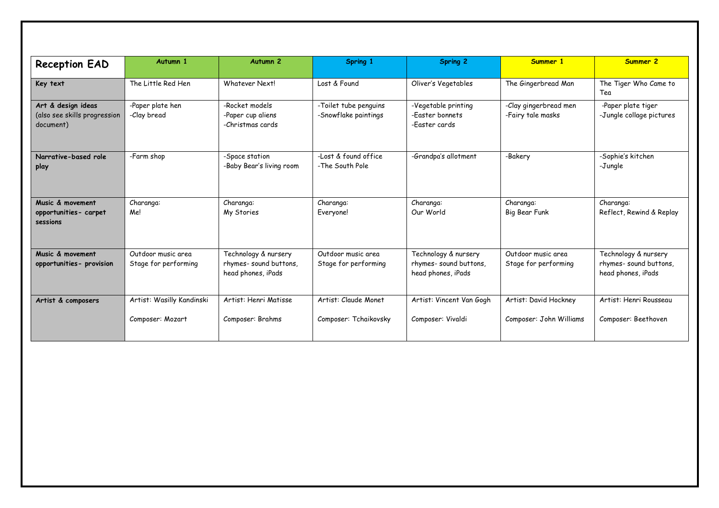| <b>Reception EAD</b>                                            | Autumn 1                                   | Autumn <sub>2</sub>                                                 | Spring 1                                      | <b>Spring 2</b>                                                     | Summer 1                                   | Summer 2                                                            |
|-----------------------------------------------------------------|--------------------------------------------|---------------------------------------------------------------------|-----------------------------------------------|---------------------------------------------------------------------|--------------------------------------------|---------------------------------------------------------------------|
| Key text                                                        | The Little Red Hen                         | Whatever Nextl                                                      | Lost & Found                                  | Oliver's Vegetables                                                 | The Gingerbread Man                        | The Tiger Who Came to<br>Tea                                        |
| Art & design ideas<br>(also see skills progression<br>document) | -Paper plate hen<br>-Clay bread            | -Rocket models<br>-Paper cup aliens<br>-Christmas cards             | -Toilet tube penguins<br>-Snowflake paintings | -Vegetable printing<br>-Easter bonnets<br>-Faster cards             | -Clay gingerbread men<br>-Fairy tale masks | -Paper plate tiger<br>-Jungle collage pictures                      |
| Narrative-based role<br>play                                    | -Farm shop                                 | -Space station<br>-Baby Bear's living room                          | -Lost & found office<br>-The South Pole       | -Grandpa's allotment                                                | -Bakery                                    | -Sophie's kitchen<br>-Jungle                                        |
| Music & movement<br>opportunities- carpet<br>sessions           | Charanga:<br>Me!                           | Charanga:<br>My Stories                                             | Charanga:<br>Everyone!                        | Charanga:<br>Our World                                              | Charanga:<br><b>Big Bear Funk</b>          | Charanga:<br>Reflect, Rewind & Replay                               |
| Music & movement<br>opportunities- provision                    | Outdoor music area<br>Stage for performing | Technology & nursery<br>rhymes-sound buttons,<br>head phones, iPads | Outdoor music area<br>Stage for performing    | Technology & nursery<br>rhymes-sound buttons,<br>head phones, iPads | Outdoor music area<br>Stage for performing | Technology & nursery<br>rhymes-sound buttons,<br>head phones, iPads |
| Artist & composers                                              | Artist: Wasilly Kandinski                  | Artist: Henri Matisse                                               | Artist: Claude Monet                          | Artist: Vincent Van Gogh                                            | Artist: David Hockney                      | Artist: Henri Rousseau                                              |
|                                                                 | Composer: Mozart                           | Composer: Brahms                                                    | Composer: Tchaikovsky                         | Composer: Vivaldi                                                   | Composer: John Williams                    | Composer: Beethoven                                                 |